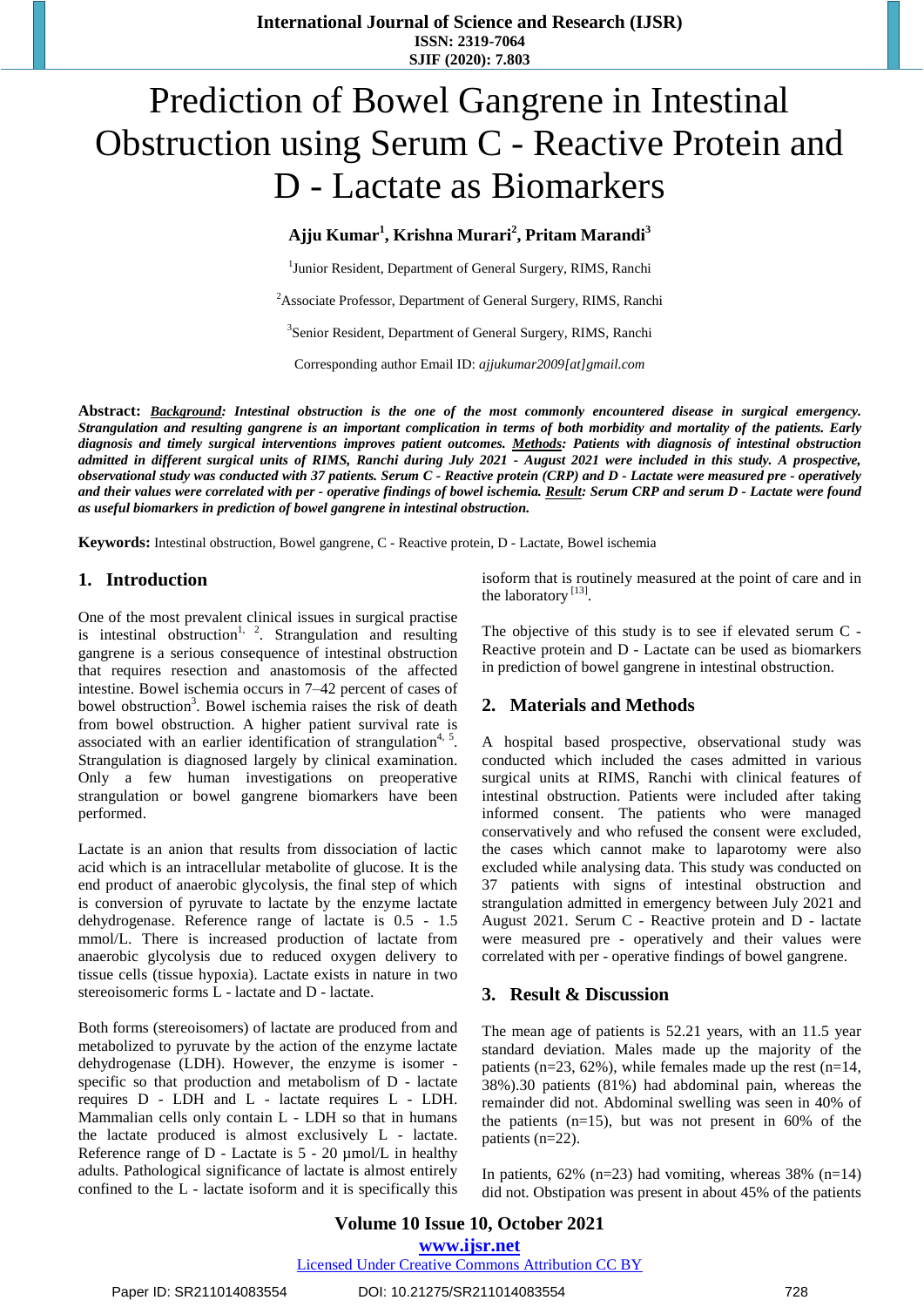**International Journal of Science and Research (IJSR) ISSN: 2319-7064 SJIF (2020): 7.803**

# Prediction of Bowel Gangrene in Intestinal Obstruction using Serum C - Reactive Protein and D - Lactate as Biomarkers

**Ajju Kumar<sup>1</sup> , Krishna Murari<sup>2</sup> , Pritam Marandi<sup>3</sup>**

<sup>1</sup> Junior Resident, Department of General Surgery, RIMS, Ranchi

<sup>2</sup>Associate Professor, Department of General Surgery, RIMS, Ranchi

<sup>3</sup>Senior Resident, Department of General Surgery, RIMS, Ranchi

Corresponding author Email ID: *ajjukumar2009[at]gmail.com*

Abstract: Background: Intestinal obstruction is the one of the most commonly encountered disease in surgical emergency. Strangulation and resulting gangrene is an important complication in terms of both morbidity and mortality of the patients. Early *diagnosis and timely surgical interventions improves patient outcomes. Methods: Patients with diagnosis of intestinal obstruction* admitted in different surgical units of RIMS, Ranchi during July 2021 - August 2021 were included in this study. A prospective, observational study was conducted with 37 patients. Serum C - Reactive protein (CRP) and D - Lactate were measured pre - operatively and their values were correlated with per - operative findings of bowel ischemia. Result: Serum CRP and serum D - Lactate were found *as useful biomarkers in prediction of bowel gangrene in intestinal obstruction.* 

**Keywords:** Intestinal obstruction, Bowel gangrene, C - Reactive protein, D - Lactate, Bowel ischemia

## **1. Introduction**

One of the most prevalent clinical issues in surgical practise is intestinal obstruction<sup>1, 2</sup>. Strangulation and resulting gangrene is a serious consequence of intestinal obstruction that requires resection and anastomosis of the affected intestine. Bowel ischemia occurs in 7–42 percent of cases of bowel obstruction<sup>3</sup>. Bowel ischemia raises the risk of death from bowel obstruction. A higher patient survival rate is associated with an earlier identification of strangulation<sup>4, 5</sup>. Strangulation is diagnosed largely by clinical examination. Only a few human investigations on preoperative strangulation or bowel gangrene biomarkers have been performed.

Lactate is an anion that results from dissociation of lactic acid which is an intracellular metabolite of glucose. It is the end product of anaerobic glycolysis, the final step of which is conversion of pyruvate to lactate by the enzyme lactate dehydrogenase. Reference range of lactate is 0.5 - 1.5 mmol/L. There is increased production of lactate from anaerobic glycolysis due to reduced oxygen delivery to tissue cells (tissue hypoxia). Lactate exists in nature in two stereoisomeric forms L - lactate and D - lactate.

Both forms (stereoisomers) of lactate are produced from and metabolized to pyruvate by the action of the enzyme lactate dehydrogenase (LDH). However, the enzyme is isomer specific so that production and metabolism of D - lactate requires D - LDH and L - lactate requires L - LDH. Mammalian cells only contain L - LDH so that in humans the lactate produced is almost exclusively L - lactate. Reference range of  $D$  - Lactate is  $5 - 20 \mu \text{mol/L}$  in healthy adults. Pathological significance of lactate is almost entirely confined to the L - lactate isoform and it is specifically this isoform that is routinely measured at the point of care and in the laboratory<sup>[13]</sup>.

The objective of this study is to see if elevated serum C - Reactive protein and D - Lactate can be used as biomarkers in prediction of bowel gangrene in intestinal obstruction.

## **2. Materials and Methods**

A hospital based prospective, observational study was conducted which included the cases admitted in various surgical units at RIMS, Ranchi with clinical features of intestinal obstruction. Patients were included after taking informed consent. The patients who were managed conservatively and who refused the consent were excluded, the cases which cannot make to laparotomy were also excluded while analysing data. This study was conducted on 37 patients with signs of intestinal obstruction and strangulation admitted in emergency between July 2021 and August 2021. Serum C - Reactive protein and D - lactate were measured pre - operatively and their values were correlated with per - operative findings of bowel gangrene.

#### **3. Result & Discussion**

The mean age of patients is 52.21 years, with an 11.5 year standard deviation. Males made up the majority of the patients ( $n=23$ , 62%), while females made up the rest ( $n=14$ , 38%).30 patients (81%) had abdominal pain, whereas the remainder did not. Abdominal swelling was seen in 40% of the patients  $(n=15)$ , but was not present in 60% of the patients (n=22).

In patients,  $62\%$  (n=23) had vomiting, whereas 38% (n=14) did not. Obstipation was present in about 45% of the patients